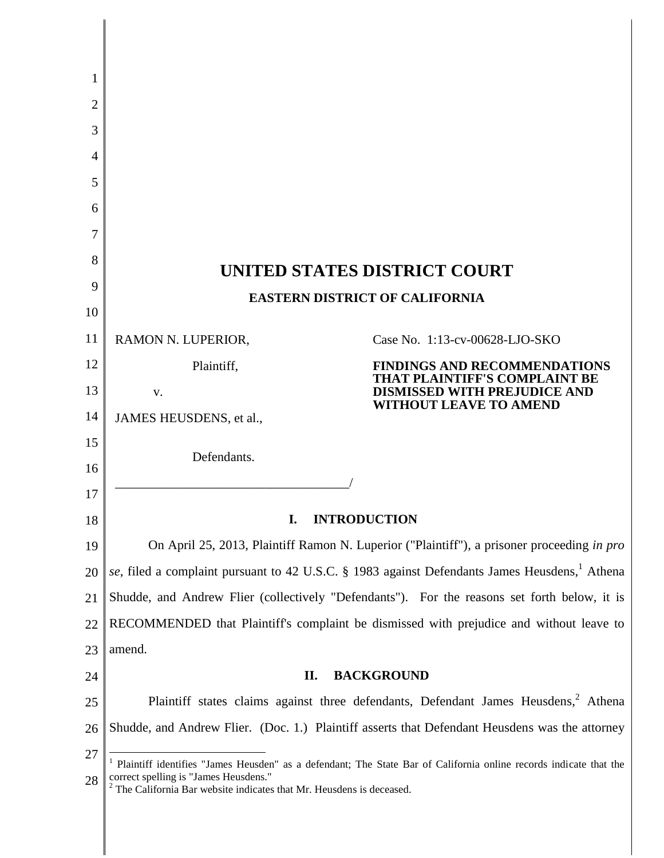| 1  |                                                                                                                                                                                                                                       |                                                                                                                                                     |
|----|---------------------------------------------------------------------------------------------------------------------------------------------------------------------------------------------------------------------------------------|-----------------------------------------------------------------------------------------------------------------------------------------------------|
| 2  |                                                                                                                                                                                                                                       |                                                                                                                                                     |
| 3  |                                                                                                                                                                                                                                       |                                                                                                                                                     |
| 4  |                                                                                                                                                                                                                                       |                                                                                                                                                     |
| 5  |                                                                                                                                                                                                                                       |                                                                                                                                                     |
| 6  |                                                                                                                                                                                                                                       |                                                                                                                                                     |
| 7  |                                                                                                                                                                                                                                       |                                                                                                                                                     |
| 8  | UNITED STATES DISTRICT COURT                                                                                                                                                                                                          |                                                                                                                                                     |
| 9  | <b>EASTERN DISTRICT OF CALIFORNIA</b>                                                                                                                                                                                                 |                                                                                                                                                     |
| 10 |                                                                                                                                                                                                                                       |                                                                                                                                                     |
| 11 | RAMON N. LUPERIOR,                                                                                                                                                                                                                    | Case No. 1:13-cv-00628-LJO-SKO                                                                                                                      |
| 12 | Plaintiff,                                                                                                                                                                                                                            | <b>FINDINGS AND RECOMMENDATIONS</b><br><b>THAT PLAINTIFF'S COMPLAINT BE</b><br><b>DISMISSED WITH PREJUDICE AND</b><br><b>WITHOUT LEAVE TO AMEND</b> |
| 13 | V.                                                                                                                                                                                                                                    |                                                                                                                                                     |
| 14 | JAMES HEUSDENS, et al.,                                                                                                                                                                                                               |                                                                                                                                                     |
| 15 | Defendants.                                                                                                                                                                                                                           |                                                                                                                                                     |
| 16 |                                                                                                                                                                                                                                       |                                                                                                                                                     |
| 17 | <b>INTRODUCTION</b><br>I.                                                                                                                                                                                                             |                                                                                                                                                     |
| 18 |                                                                                                                                                                                                                                       |                                                                                                                                                     |
| 19 | On April 25, 2013, Plaintiff Ramon N. Luperior ("Plaintiff"), a prisoner proceeding in pro                                                                                                                                            |                                                                                                                                                     |
| 20 | se, filed a complaint pursuant to 42 U.S.C. § 1983 against Defendants James Heusdens, Athena                                                                                                                                          |                                                                                                                                                     |
| 21 | Shudde, and Andrew Flier (collectively "Defendants"). For the reasons set forth below, it is                                                                                                                                          |                                                                                                                                                     |
| 22 | RECOMMENDED that Plaintiff's complaint be dismissed with prejudice and without leave to                                                                                                                                               |                                                                                                                                                     |
| 23 | amend.                                                                                                                                                                                                                                |                                                                                                                                                     |
| 24 | П.<br><b>BACKGROUND</b>                                                                                                                                                                                                               |                                                                                                                                                     |
| 25 | Plaintiff states claims against three defendants, Defendant James Heusdens, <sup>2</sup> Athena                                                                                                                                       |                                                                                                                                                     |
| 26 | Shudde, and Andrew Flier. (Doc. 1.) Plaintiff asserts that Defendant Heusdens was the attorney                                                                                                                                        |                                                                                                                                                     |
| 27 | Plaintiff identifies "James Heusden" as a defendant; The State Bar of California online records indicate that the<br>correct spelling is "James Heusdens."<br>$2$ The California Bar website indicates that Mr. Heusdens is deceased. |                                                                                                                                                     |
| 28 |                                                                                                                                                                                                                                       |                                                                                                                                                     |
|    |                                                                                                                                                                                                                                       |                                                                                                                                                     |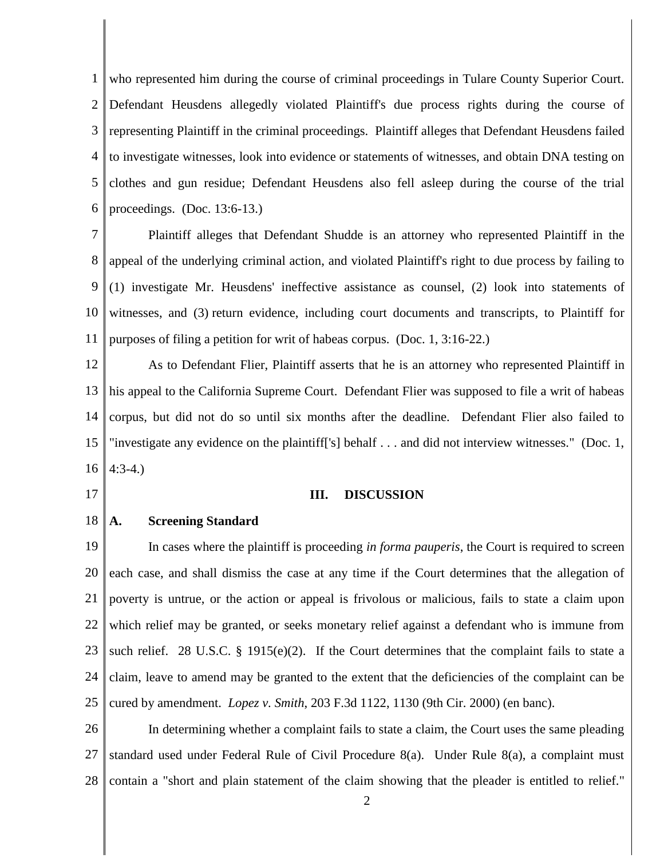1 2 3 4 5 6 who represented him during the course of criminal proceedings in Tulare County Superior Court. Defendant Heusdens allegedly violated Plaintiff's due process rights during the course of representing Plaintiff in the criminal proceedings. Plaintiff alleges that Defendant Heusdens failed to investigate witnesses, look into evidence or statements of witnesses, and obtain DNA testing on clothes and gun residue; Defendant Heusdens also fell asleep during the course of the trial proceedings. (Doc. 13:6-13.)

7 8 9 10 11 Plaintiff alleges that Defendant Shudde is an attorney who represented Plaintiff in the appeal of the underlying criminal action, and violated Plaintiff's right to due process by failing to (1) investigate Mr. Heusdens' ineffective assistance as counsel, (2) look into statements of witnesses, and (3) return evidence, including court documents and transcripts, to Plaintiff for purposes of filing a petition for writ of habeas corpus. (Doc. 1, 3:16-22.)

12 13 14 15 16 As to Defendant Flier, Plaintiff asserts that he is an attorney who represented Plaintiff in his appeal to the California Supreme Court. Defendant Flier was supposed to file a writ of habeas corpus, but did not do so until six months after the deadline. Defendant Flier also failed to "investigate any evidence on the plaintiff['s] behalf . . . and did not interview witnesses." (Doc. 1, 4:3-4.)

17

#### **III. DISCUSSION**

18 **A. Screening Standard**

19 20 21 22 23 24 25 In cases where the plaintiff is proceeding *in forma pauperis*, the Court is required to screen each case, and shall dismiss the case at any time if the Court determines that the allegation of poverty is untrue, or the action or appeal is frivolous or malicious, fails to state a claim upon which relief may be granted, or seeks monetary relief against a defendant who is immune from such relief. 28 U.S.C. § 1915(e)(2). If the Court determines that the complaint fails to state a claim, leave to amend may be granted to the extent that the deficiencies of the complaint can be cured by amendment. *Lopez v. Smith*, 203 F.3d 1122, 1130 (9th Cir. 2000) (en banc).

26 27 28 In determining whether a complaint fails to state a claim, the Court uses the same pleading standard used under Federal Rule of Civil Procedure 8(a). Under Rule 8(a), a complaint must contain a "short and plain statement of the claim showing that the pleader is entitled to relief."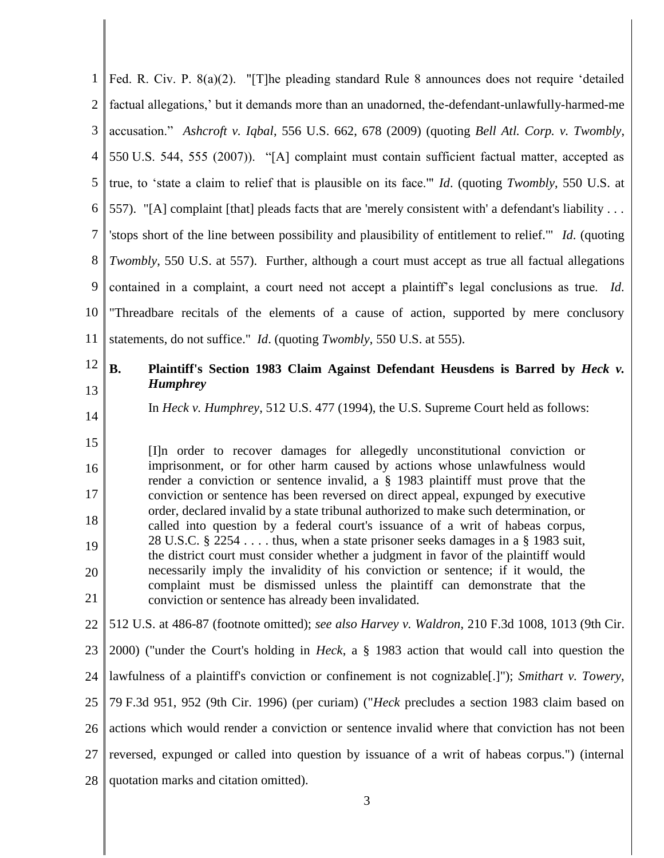1 2 3 4 5 6 7 8 9 10 11 Fed. R. Civ. P. 8(a)(2). "[T]he pleading standard Rule 8 announces does not require 'detailed factual allegations,' but it demands more than an unadorned, the-defendant-unlawfully-harmed-me accusation." *Ashcroft v. Iqbal*, 556 U.S. 662, 678 (2009) (quoting *Bell Atl. Corp. v. Twombly*, 550 U.S. 544, 555 (2007)). "[A] complaint must contain sufficient factual matter, accepted as true, to 'state a claim to relief that is plausible on its face.'" *Id*. (quoting *Twombly*, 550 U.S. at 557). "[A] complaint [that] pleads facts that are 'merely consistent with' a defendant's liability . . . 'stops short of the line between possibility and plausibility of entitlement to relief.'" *Id*. (quoting *Twombly*, 550 U.S. at 557). Further, although a court must accept as true all factual allegations contained in a complaint, a court need not accept a plaintiff's legal conclusions as true. *Id*. "Threadbare recitals of the elements of a cause of action, supported by mere conclusory statements, do not suffice." *Id*. (quoting *Twombly*, 550 U.S. at 555).

#### 12 13 **B. Plaintiff's Section 1983 Claim Against Defendant Heusdens is Barred by** *Heck v. Humphrey*

In *Heck v. Humphrey*, 512 U.S. 477 (1994), the U.S. Supreme Court held as follows:

14

15 16 17 18 19 20 21 [I]n order to recover damages for allegedly unconstitutional conviction or imprisonment, or for other harm caused by actions whose unlawfulness would render a conviction or sentence invalid, a § 1983 plaintiff must prove that the conviction or sentence has been reversed on direct appeal, expunged by executive order, declared invalid by a state tribunal authorized to make such determination, or called into question by a federal court's issuance of a writ of habeas corpus, 28 U.S.C. § 2254 . . . . thus, when a state prisoner seeks damages in a § 1983 suit, the district court must consider whether a judgment in favor of the plaintiff would necessarily imply the invalidity of his conviction or sentence; if it would, the complaint must be dismissed unless the plaintiff can demonstrate that the conviction or sentence has already been invalidated.

22 512 U.S. at 486-87 (footnote omitted); *see also Harvey v. Waldron*, 210 F.3d 1008, 1013 (9th Cir.

23 24 25 26 27 28 2000) ("under the Court's holding in *Heck*, a § 1983 action that would call into question the lawfulness of a plaintiff's conviction or confinement is not cognizable[.]"); *Smithart v. Towery*, 79 F.3d 951, 952 (9th Cir. 1996) (per curiam) ("*Heck* precludes a section 1983 claim based on actions which would render a conviction or sentence invalid where that conviction has not been reversed, expunged or called into question by issuance of a writ of habeas corpus.") (internal quotation marks and citation omitted).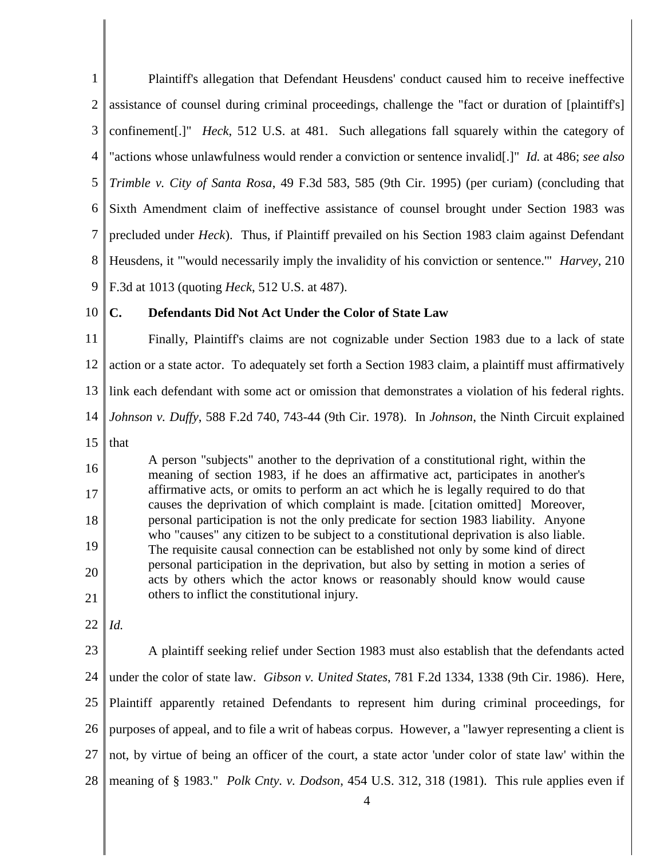1 2 3 4 5 6 7 8 9 Plaintiff's allegation that Defendant Heusdens' conduct caused him to receive ineffective assistance of counsel during criminal proceedings, challenge the "fact or duration of [plaintiff's] confinement[.]" *Heck*, 512 U.S. at 481. Such allegations fall squarely within the category of "actions whose unlawfulness would render a conviction or sentence invalid[.]" *Id.* at 486; *see also Trimble v. City of Santa Rosa*, 49 F.3d 583, 585 (9th Cir. 1995) (per curiam) (concluding that Sixth Amendment claim of ineffective assistance of counsel brought under Section 1983 was precluded under *Heck*). Thus, if Plaintiff prevailed on his Section 1983 claim against Defendant Heusdens, it "'would necessarily imply the invalidity of his conviction or sentence.'" *Harvey*, 210 F.3d at 1013 (quoting *Heck*, 512 U.S. at 487).

10

## **C. Defendants Did Not Act Under the Color of State Law**

11 12 13 14 Finally, Plaintiff's claims are not cognizable under Section 1983 due to a lack of state action or a state actor. To adequately set forth a Section 1983 claim, a plaintiff must affirmatively link each defendant with some act or omission that demonstrates a violation of his federal rights. *Johnson v. Duffy*, 588 F.2d 740, 743-44 (9th Cir. 1978). In *Johnson*, the Ninth Circuit explained

15 that

16 17 18 19 20 21 A person "subjects" another to the deprivation of a constitutional right, within the meaning of section 1983, if he does an affirmative act, participates in another's affirmative acts, or omits to perform an act which he is legally required to do that causes the deprivation of which complaint is made. [citation omitted] Moreover, personal participation is not the only predicate for section 1983 liability. Anyone who "causes" any citizen to be subject to a constitutional deprivation is also liable. The requisite causal connection can be established not only by some kind of direct personal participation in the deprivation, but also by setting in motion a series of acts by others which the actor knows or reasonably should know would cause others to inflict the constitutional injury.

22 *Id.*

23 24 25 26 27 28 A plaintiff seeking relief under Section 1983 must also establish that the defendants acted under the color of state law. *Gibson v. United States*, 781 F.2d 1334, 1338 (9th Cir. 1986). Here, Plaintiff apparently retained Defendants to represent him during criminal proceedings, for purposes of appeal, and to file a writ of habeas corpus. However, a "lawyer representing a client is not, by virtue of being an officer of the court, a state actor 'under color of state law' within the meaning of § 1983." *Polk Cnty. v. Dodson*, 454 U.S. 312, 318 (1981). This rule applies even if

4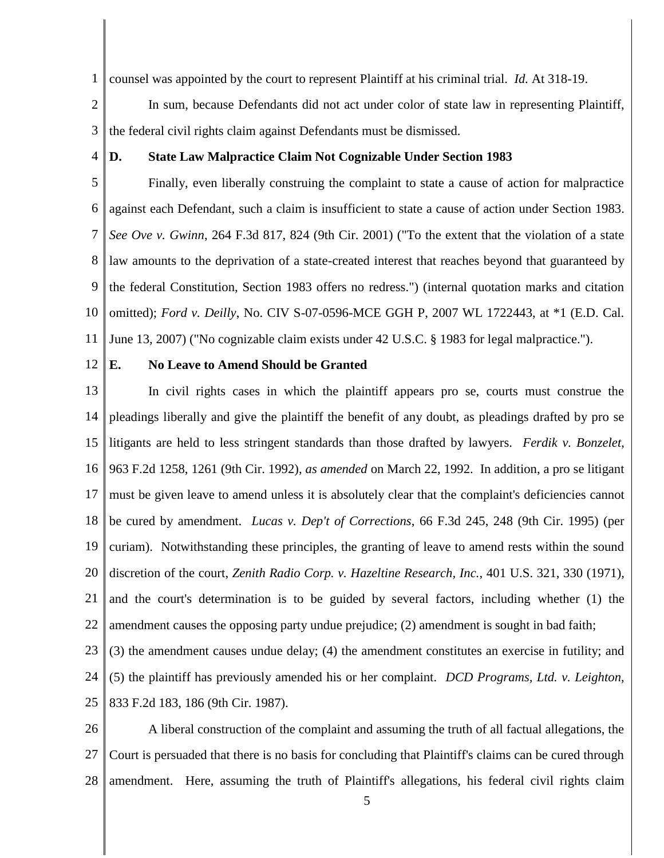1 counsel was appointed by the court to represent Plaintiff at his criminal trial. *Id.* At 318-19.

2 3 In sum, because Defendants did not act under color of state law in representing Plaintiff, the federal civil rights claim against Defendants must be dismissed.

**D. State Law Malpractice Claim Not Cognizable Under Section 1983**

5 6 7 8 9 10 11 Finally, even liberally construing the complaint to state a cause of action for malpractice against each Defendant, such a claim is insufficient to state a cause of action under Section 1983. *See Ove v. Gwinn*, 264 F.3d 817, 824 (9th Cir. 2001) ("To the extent that the violation of a state law amounts to the deprivation of a state-created interest that reaches beyond that guaranteed by the federal Constitution, Section 1983 offers no redress.") (internal quotation marks and citation omitted); *Ford v. Deilly*, No. CIV S-07-0596-MCE GGH P, 2007 WL 1722443, at \*1 (E.D. Cal. June 13, 2007) ("No cognizable claim exists under 42 U.S.C. § 1983 for legal malpractice.").

12

4

## **E. No Leave to Amend Should be Granted**

13 14 15 16 17 18 19 20 21 22 In civil rights cases in which the plaintiff appears pro se, courts must construe the pleadings liberally and give the plaintiff the benefit of any doubt, as pleadings drafted by pro se litigants are held to less stringent standards than those drafted by lawyers. *Ferdik v. Bonzelet*, 963 F.2d 1258, 1261 (9th Cir. 1992), *as amended* on March 22, 1992. In addition, a pro se litigant must be given leave to amend unless it is absolutely clear that the complaint's deficiencies cannot be cured by amendment. *Lucas v. Dep't of Corrections*, 66 F.3d 245, 248 (9th Cir. 1995) (per curiam). Notwithstanding these principles, the granting of leave to amend rests within the sound discretion of the court, *Zenith Radio Corp. v. Hazeltine Research, Inc.*, 401 U.S. 321, 330 (1971), and the court's determination is to be guided by several factors, including whether (1) the amendment causes the opposing party undue prejudice; (2) amendment is sought in bad faith;

23 24 25 (3) the amendment causes undue delay; (4) the amendment constitutes an exercise in futility; and (5) the plaintiff has previously amended his or her complaint. *DCD Programs, Ltd. v. Leighton*, 833 F.2d 183, 186 (9th Cir. 1987).

26 27 28 A liberal construction of the complaint and assuming the truth of all factual allegations, the Court is persuaded that there is no basis for concluding that Plaintiff's claims can be cured through amendment. Here, assuming the truth of Plaintiff's allegations, his federal civil rights claim